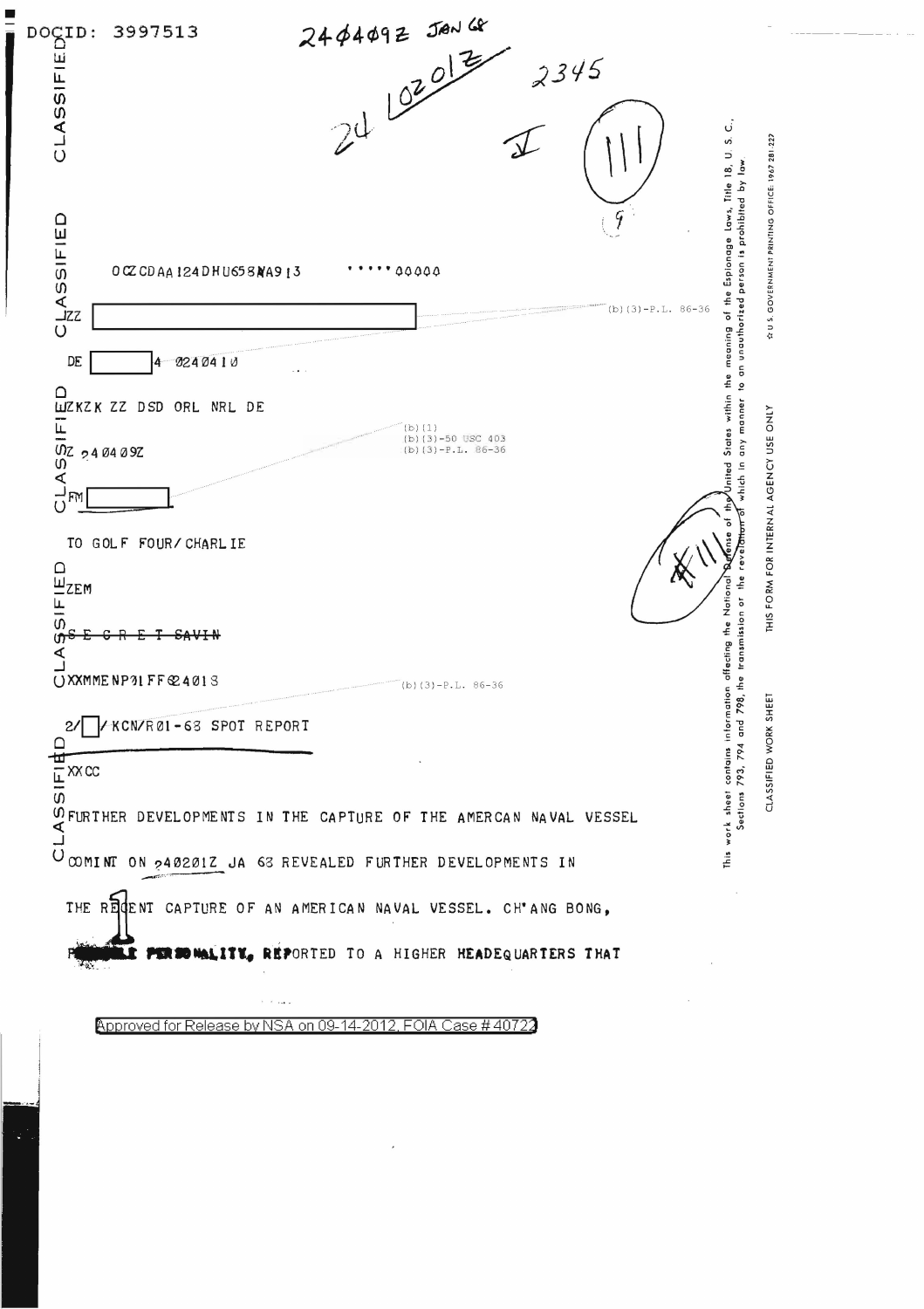

Approved for Release by NSA on 09-14-2012, FOIA Case #40722